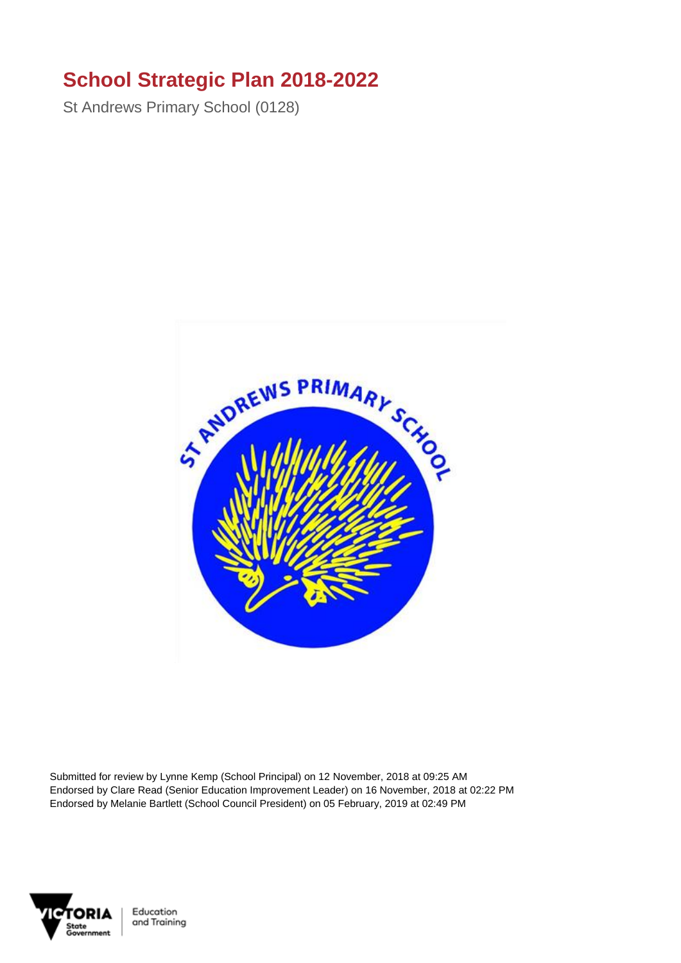## **School Strategic Plan 2018-2022**

St Andrews Primary School (0128)



Submitted for review by Lynne Kemp (School Principal) on 12 November, 2018 at 09:25 AM Endorsed by Clare Read (Senior Education Improvement Leader) on 16 November, 2018 at 02:22 PM Endorsed by Melanie Bartlett (School Council President) on 05 February, 2019 at 02:49 PM



Education and Training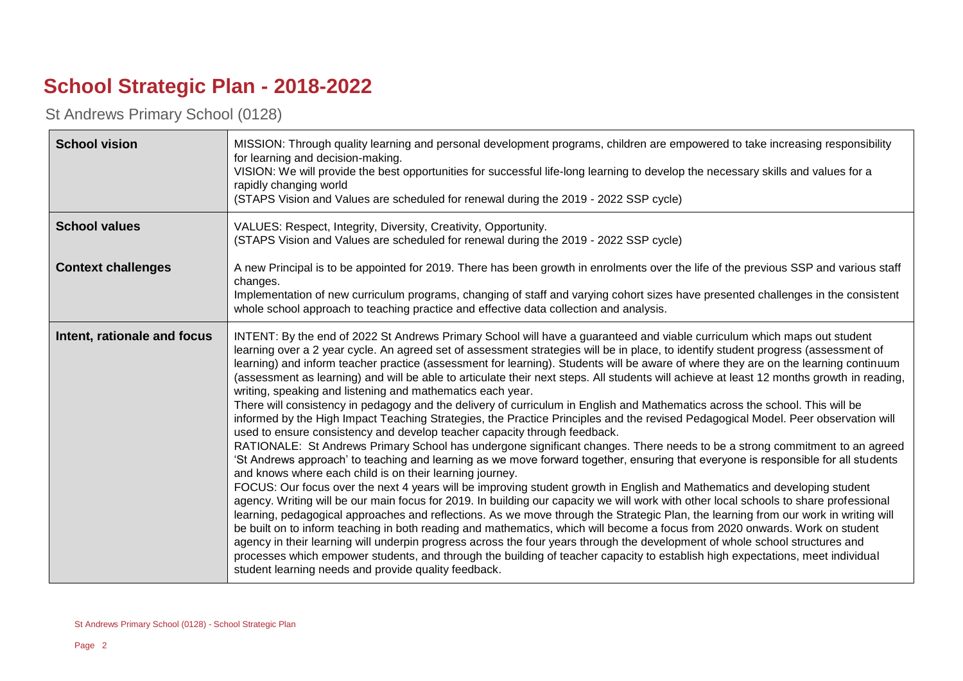## **School Strategic Plan - 2018-2022**

St Andrews Primary School (0128)

| <b>School vision</b>        | MISSION: Through quality learning and personal development programs, children are empowered to take increasing responsibility<br>for learning and decision-making.<br>VISION: We will provide the best opportunities for successful life-long learning to develop the necessary skills and values for a<br>rapidly changing world<br>(STAPS Vision and Values are scheduled for renewal during the 2019 - 2022 SSP cycle)                                                                                                                                                                                                                                                                                                                                                                                                                                                                                                                                                                                                                                                                                                                                                                                                                                                                                                                                                                                                                                                                                                                                                                                                                                                                                                                                                                                                                                                                                                                                                                                                                                                                                                                                                 |
|-----------------------------|---------------------------------------------------------------------------------------------------------------------------------------------------------------------------------------------------------------------------------------------------------------------------------------------------------------------------------------------------------------------------------------------------------------------------------------------------------------------------------------------------------------------------------------------------------------------------------------------------------------------------------------------------------------------------------------------------------------------------------------------------------------------------------------------------------------------------------------------------------------------------------------------------------------------------------------------------------------------------------------------------------------------------------------------------------------------------------------------------------------------------------------------------------------------------------------------------------------------------------------------------------------------------------------------------------------------------------------------------------------------------------------------------------------------------------------------------------------------------------------------------------------------------------------------------------------------------------------------------------------------------------------------------------------------------------------------------------------------------------------------------------------------------------------------------------------------------------------------------------------------------------------------------------------------------------------------------------------------------------------------------------------------------------------------------------------------------------------------------------------------------------------------------------------------------|
| <b>School values</b>        | VALUES: Respect, Integrity, Diversity, Creativity, Opportunity.<br>(STAPS Vision and Values are scheduled for renewal during the 2019 - 2022 SSP cycle)                                                                                                                                                                                                                                                                                                                                                                                                                                                                                                                                                                                                                                                                                                                                                                                                                                                                                                                                                                                                                                                                                                                                                                                                                                                                                                                                                                                                                                                                                                                                                                                                                                                                                                                                                                                                                                                                                                                                                                                                                   |
| <b>Context challenges</b>   | A new Principal is to be appointed for 2019. There has been growth in enrolments over the life of the previous SSP and various staff<br>changes.<br>Implementation of new curriculum programs, changing of staff and varying cohort sizes have presented challenges in the consistent<br>whole school approach to teaching practice and effective data collection and analysis.                                                                                                                                                                                                                                                                                                                                                                                                                                                                                                                                                                                                                                                                                                                                                                                                                                                                                                                                                                                                                                                                                                                                                                                                                                                                                                                                                                                                                                                                                                                                                                                                                                                                                                                                                                                           |
| Intent, rationale and focus | INTENT: By the end of 2022 St Andrews Primary School will have a guaranteed and viable curriculum which maps out student<br>learning over a 2 year cycle. An agreed set of assessment strategies will be in place, to identify student progress (assessment of<br>learning) and inform teacher practice (assessment for learning). Students will be aware of where they are on the learning continuum<br>(assessment as learning) and will be able to articulate their next steps. All students will achieve at least 12 months growth in reading,<br>writing, speaking and listening and mathematics each year.<br>There will consistency in pedagogy and the delivery of curriculum in English and Mathematics across the school. This will be<br>informed by the High Impact Teaching Strategies, the Practice Principles and the revised Pedagogical Model. Peer observation will<br>used to ensure consistency and develop teacher capacity through feedback.<br>RATIONALE: St Andrews Primary School has undergone significant changes. There needs to be a strong commitment to an agreed<br>'St Andrews approach' to teaching and learning as we move forward together, ensuring that everyone is responsible for all students<br>and knows where each child is on their learning journey.<br>FOCUS: Our focus over the next 4 years will be improving student growth in English and Mathematics and developing student<br>agency. Writing will be our main focus for 2019. In building our capacity we will work with other local schools to share professional<br>learning, pedagogical approaches and reflections. As we move through the Strategic Plan, the learning from our work in writing will<br>be built on to inform teaching in both reading and mathematics, which will become a focus from 2020 onwards. Work on student<br>agency in their learning will underpin progress across the four years through the development of whole school structures and<br>processes which empower students, and through the building of teacher capacity to establish high expectations, meet individual<br>student learning needs and provide quality feedback. |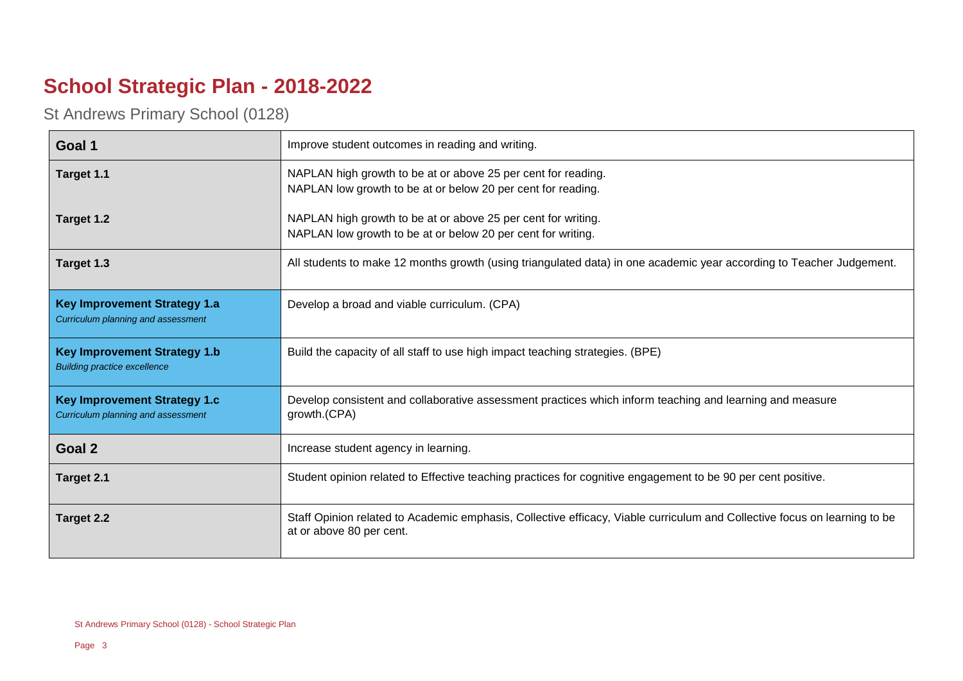## **School Strategic Plan - 2018-2022**

St Andrews Primary School (0128)

| Goal 1                                                                     | Improve student outcomes in reading and writing.                                                                                                      |
|----------------------------------------------------------------------------|-------------------------------------------------------------------------------------------------------------------------------------------------------|
| Target 1.1                                                                 | NAPLAN high growth to be at or above 25 per cent for reading.<br>NAPLAN low growth to be at or below 20 per cent for reading.                         |
| Target 1.2                                                                 | NAPLAN high growth to be at or above 25 per cent for writing.<br>NAPLAN low growth to be at or below 20 per cent for writing.                         |
| Target 1.3                                                                 | All students to make 12 months growth (using triangulated data) in one academic year according to Teacher Judgement.                                  |
| <b>Key Improvement Strategy 1.a</b><br>Curriculum planning and assessment  | Develop a broad and viable curriculum. (CPA)                                                                                                          |
| <b>Key Improvement Strategy 1.b</b><br><b>Building practice excellence</b> | Build the capacity of all staff to use high impact teaching strategies. (BPE)                                                                         |
| <b>Key Improvement Strategy 1.c</b><br>Curriculum planning and assessment  | Develop consistent and collaborative assessment practices which inform teaching and learning and measure<br>growth.(CPA)                              |
| Goal 2                                                                     | Increase student agency in learning.                                                                                                                  |
| Target 2.1                                                                 | Student opinion related to Effective teaching practices for cognitive engagement to be 90 per cent positive.                                          |
| Target 2.2                                                                 | Staff Opinion related to Academic emphasis, Collective efficacy, Viable curriculum and Collective focus on learning to be<br>at or above 80 per cent. |